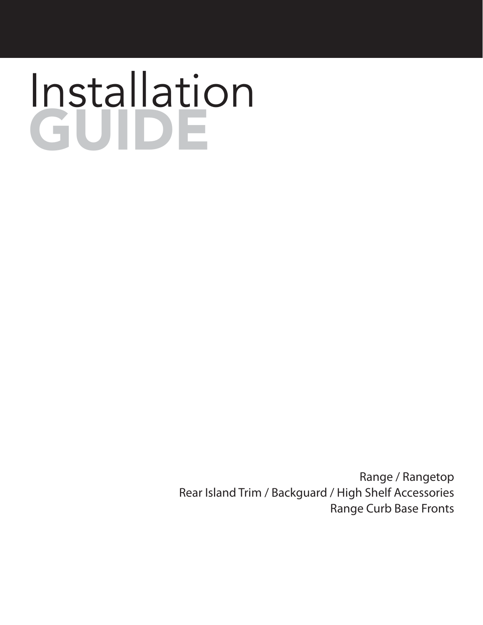# Installation GUIDE

Range / Rangetop Rear Island Trim / Backguard / High Shelf Accessories Range Curb Base Fronts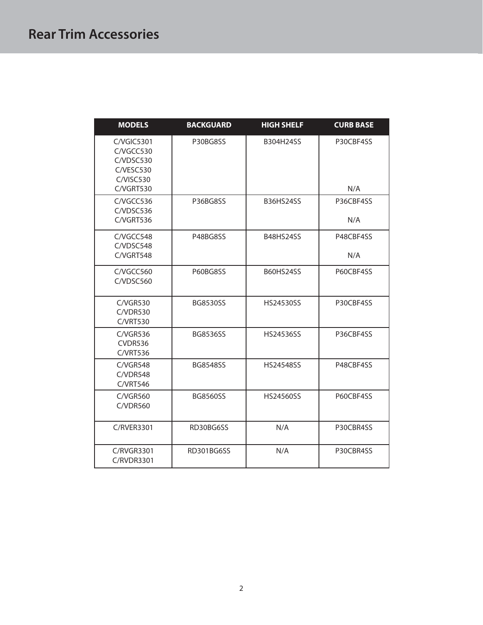| <b>MODELS</b>                                                                  | <b>BACKGUARD</b> | <b>HIGH SHELF</b> | <b>CURB BASE</b> |
|--------------------------------------------------------------------------------|------------------|-------------------|------------------|
| $C/V$ GIC5301<br>C/VGCC530<br>C/VDSC530<br>C/VESC530<br>C/VISC530<br>C/VGRT530 | P30BG8SS         | B304H24SS         | P30CBF4SS<br>N/A |
| C/VGCC536<br>C/VDSC536<br>C/VGRT536                                            | P36BG8SS         | <b>B36HS24SS</b>  | P36CBF4SS<br>N/A |
| C/VGCC548<br>C/VDSC548<br>C/VGRT548                                            | P48BG8SS         | <b>B48HS24SS</b>  | P48CBF4SS<br>N/A |
| C/VGCC560<br>C/VDSC560                                                         | P60BG8SS         | <b>B60HS24SS</b>  | P60CBF4SS        |
| $C/V$ GR530<br>C/VDR530<br><b>C/VRT530</b>                                     | BG8530SS         | HS24530SS         | P30CBF4SS        |
| $C/V$ GR536<br>CVDR536<br><b>C/VRT536</b>                                      | BG8536SS         | HS24536SS         | P36CBF4SS        |
| C/VGR548<br>C/VDR548<br><b>C/VRT546</b>                                        | <b>BG8548SS</b>  | HS24548SS         | P48CBF4SS        |
| <b>C/VGR560</b><br>C/VDR560                                                    | <b>BG8560SS</b>  | <b>HS24560SS</b>  | P60CBF4SS        |
| <b>C/RVER3301</b>                                                              | RD30BG6SS        | N/A               | P30CBR4SS        |
| C/RVGR3301<br><b>C/RVDR3301</b>                                                | RD301BG6SS       | N/A               | P30CBR4SS        |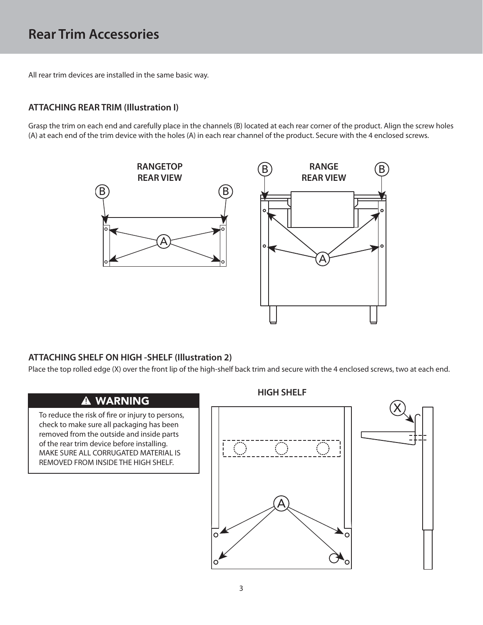All rear trim devices are installed in the same basic way.

## **ATTACHING REAR TRIM (Illustration I)**

Grasp the trim on each end and carefully place in the channels (B) located at each rear corner of the product. Align the screw holes (A) at each end of the trim device with the holes (A) in each rear channel of the product. Secure with the 4 enclosed screws.



Place the top rolled edge (X) over the front lip of the high-shelf back trim and secure with the 4 enclosed screws, two at each end.

## **A WARNING**

To reduce the risk of fire or injury to persons, check to make sure all packaging has been removed from the outside and inside parts of the rear trim device before installing. MAKE SURE ALL CORRUGATED MATERIAL IS REMOVED FROM INSIDE THE HIGH SHELF.

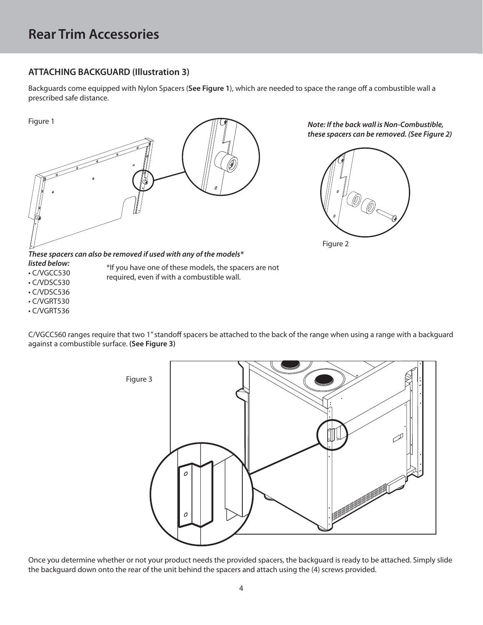## **ATTACHING BACKGUARD (Illustration 3)**

Backguards come equipped with Nylon Spacers (**See Figure 1**), which are needed to space the range off a combustible wall a prescribed safe distance.



*Note: If the back wall is Non-Combustible, these spacers can be removed. (See Figure 2)*





*These spacers can also be removed if used with any of the models\** 

\*If you have one of these models, the spacers are not

required, even if with a combustible wall.

- *listed below:*
- C/VGCC530
- C/VDSC530
- C/VDSC536
- C/VGRT530
- C/VGRT536

C/VGCC560 ranges require that two 1" standoff spacers be attached to the back of the range when using a range with a backguard against a combustible surface. **(See Figure 3)**



Once you determine whether or not your product needs the provided spacers, the backguard is ready to be attached. Simply slide the backguard down onto the rear of the unit behind the spacers and attach using the (4) screws provided.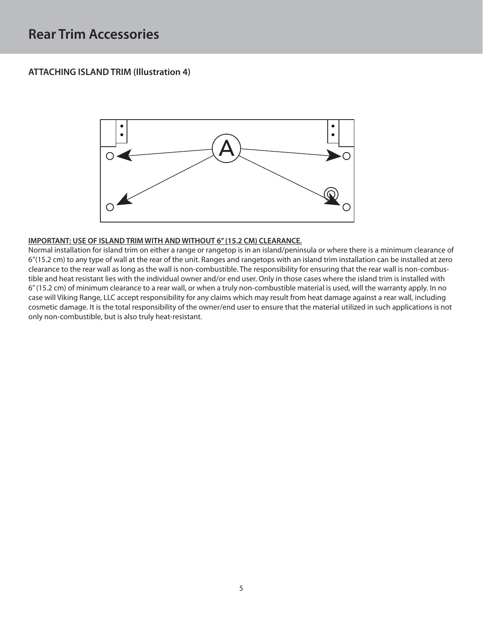### **ATTACHING ISLAND TRIM (Illustration 4)**



<u>IMPORTMINISTS IS NET IN MILLION INCONSTRIMENT IN THE CONSTRIM WITHOUT 6.</u><br>Normal installation for island trim on either a range or rangetop is in an island/peninsula or where there is a minimum clearance of 6"(15.2 cm) to any type of wall at the rear of the unit. Ranges and rangetops with an island trim installation can be installed at zero clearance to the rear wall as long as the wall is non-combustible. The responsibility for ensuring that the rear wall is non-combustible and heat resistant lies with the individual owner and/or end user. Only in those cases where the island trim is installed with 6" (15.2 cm) of minimum clearance to a rear wall, or when a truly non-combustible material is used, will the warranty apply. In no case will Viking Range, LLC accept responsibility for any claims which may result from heat damage against a rear wall, including cosmetic damage. It is the total responsibility of the owner/end user to ensure that the material utilized in such applications is not only non-combustible, but is also truly heat-resistant.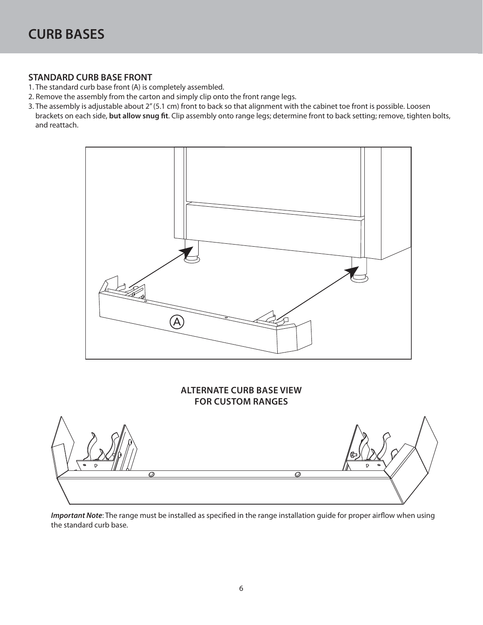### **STANDARD CURB BASE FRONT**

- 1. The standard curb base front (A) is completely assembled.
- 2. Remove the assembly from the carton and simply clip onto the front range legs.
- 3. The assembly is adjustable about 2" (5.1 cm) front to back so that alignment with the cabinet toe front is possible. Loosen brackets on each side, but allow snug fit. Clip assembly onto range legs; determine front to back setting; remove, tighten bolts, and reattach.



## **ALTERNATE CURB BASE VIEW**



*Important Note*: The range must be installed as specified in the range installation guide for proper airflow when using the standard curb base.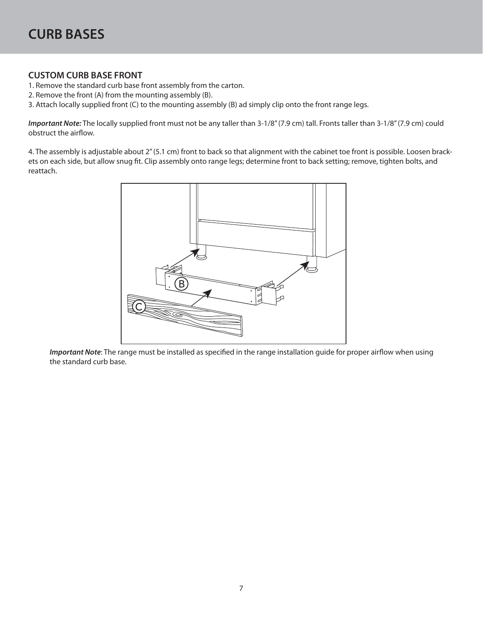- **EUSTOM CURB BASE FROM CURB BASE FROM CURB BASE FROM THE CONTROL**
- 2. Remove the front (A) from the mounting assembly (B).
- 3. Attach locally supplied front (C) to the mounting assembly (B) ad simply clip onto the front range legs.

*Important Note:* The locally supplied front must not be any taller than 3-1/8" (7.9 cm) tall. Fronts taller than 3-1/8" (7.9 cm) could obstruct the airflow.

4. The assembly is adjustable about 2" (5.1 cm) front to back so that alignment with the cabinet toe front is possible. Loosen brackets on each side, but allow snug fit. Clip assembly onto range legs; determine front to back setting; remove, tighten bolts, and reattach.



*Important Note*: The range must be installed as specified in the range installation guide for proper airflow when using the standard curb base.